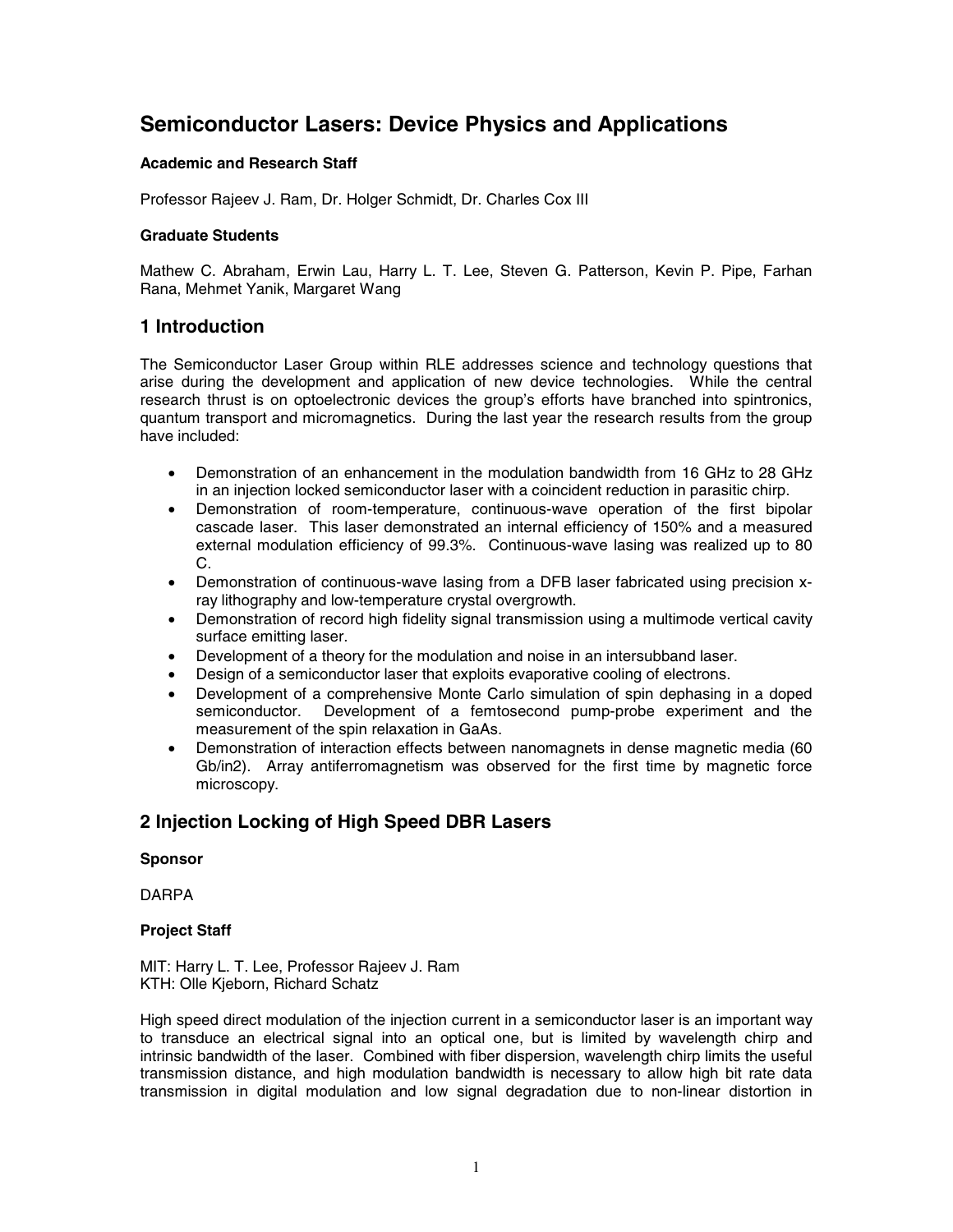# **Semiconductor Lasers: Device Physics and Applications**

#### **Academic and Research Staff**

Professor Rajeev J. Ram, Dr. Holger Schmidt, Dr. Charles Cox III

#### **Graduate Students**

Mathew C. Abraham, Erwin Lau, Harry L. T. Lee, Steven G. Patterson, Kevin P. Pipe, Farhan Rana, Mehmet Yanik, Margaret Wang

### **1 Introduction**

The Semiconductor Laser Group within RLE addresses science and technology questions that arise during the development and application of new device technologies. While the central research thrust is on optoelectronic devices the group's efforts have branched into spintronics, quantum transport and micromagnetics. During the last year the research results from the group have included:

- Demonstration of an enhancement in the modulation bandwidth from 16 GHz to 28 GHz in an injection locked semiconductor laser with a coincident reduction in parasitic chirp.
- Demonstration of room-temperature, continuous-wave operation of the first bipolar cascade laser. This laser demonstrated an internal efficiency of 150% and a measured external modulation efficiency of 99.3%. Continuous-wave lasing was realized up to 80 C.
- Demonstration of continuous-wave lasing from a DFB laser fabricated using precision xray lithography and low-temperature crystal overgrowth.
- Demonstration of record high fidelity signal transmission using a multimode vertical cavity surface emitting laser.
- Development of a theory for the modulation and noise in an intersubband laser.
- Design of a semiconductor laser that exploits evaporative cooling of electrons.
- Development of a comprehensive Monte Carlo simulation of spin dephasing in a doped Development of a femtosecond pump-probe experiment and the measurement of the spin relaxation in GaAs.
- Demonstration of interaction effects between nanomagnets in dense magnetic media (60 Gb/in2). Array antiferromagnetism was observed for the first time by magnetic force microscopy.

## **2 Injection Locking of High Speed DBR Lasers**

#### **Sponsor**

DARPA

#### **Project Staff**

MIT: Harry L. T. Lee, Professor Rajeev J. Ram KTH: Olle Kjeborn, Richard Schatz

High speed direct modulation of the injection current in a semiconductor laser is an important way to transduce an electrical signal into an optical one, but is limited by wavelength chirp and intrinsic bandwidth of the laser. Combined with fiber dispersion, wavelength chirp limits the useful transmission distance, and high modulation bandwidth is necessary to allow high bit rate data transmission in digital modulation and low signal degradation due to non-linear distortion in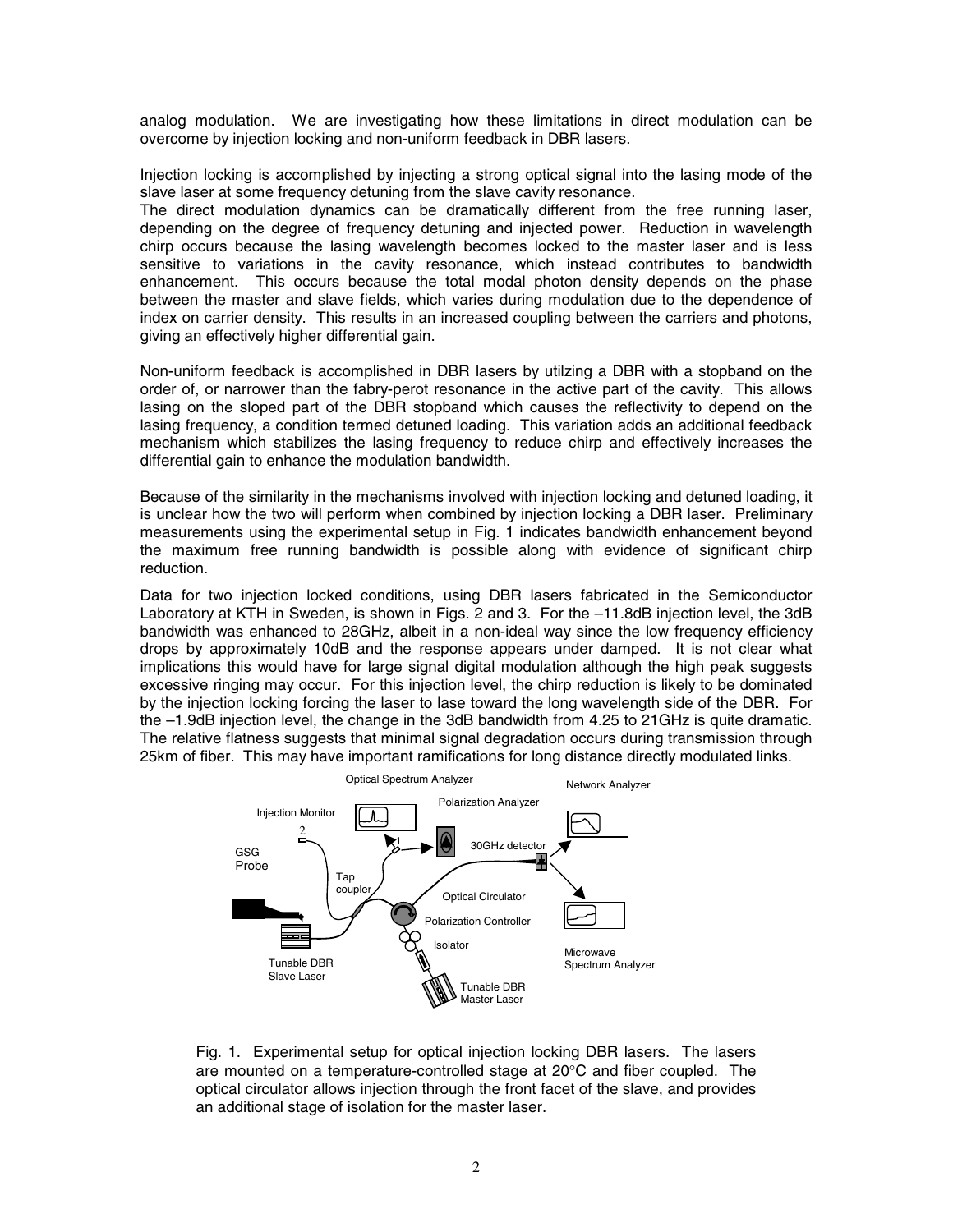analog modulation. We are investigating how these limitations in direct modulation can be overcome by injection locking and non-uniform feedback in DBR lasers.

Injection locking is accomplished by injecting a strong optical signal into the lasing mode of the slave laser at some frequency detuning from the slave cavity resonance.

The direct modulation dynamics can be dramatically different from the free running laser, depending on the degree of frequency detuning and injected power. Reduction in wavelength chirp occurs because the lasing wavelength becomes locked to the master laser and is less sensitive to variations in the cavity resonance, which instead contributes to bandwidth enhancement. This occurs because the total modal photon density depends on the phase between the master and slave fields, which varies during modulation due to the dependence of index on carrier density. This results in an increased coupling between the carriers and photons, giving an effectively higher differential gain.

Non-uniform feedback is accomplished in DBR lasers by utilzing a DBR with a stopband on the order of, or narrower than the fabry-perot resonance in the active part of the cavity. This allows lasing on the sloped part of the DBR stopband which causes the reflectivity to depend on the lasing frequency, a condition termed detuned loading. This variation adds an additional feedback mechanism which stabilizes the lasing frequency to reduce chirp and effectively increases the differential gain to enhance the modulation bandwidth.

Because of the similarity in the mechanisms involved with injection locking and detuned loading, it is unclear how the two will perform when combined by injection locking a DBR laser. Preliminary measurements using the experimental setup in Fig. 1 indicates bandwidth enhancement beyond the maximum free running bandwidth is possible along with evidence of significant chirp reduction.

Data for two injection locked conditions, using DBR lasers fabricated in the Semiconductor Laboratory at KTH in Sweden, is shown in Figs. 2 and 3. For the –11.8dB injection level, the 3dB bandwidth was enhanced to 28GHz, albeit in a non-ideal way since the low frequency efficiency drops by approximately 10dB and the response appears under damped. It is not clear what implications this would have for large signal digital modulation although the high peak suggests excessive ringing may occur. For this injection level, the chirp reduction is likely to be dominated by the injection locking forcing the laser to lase toward the long wavelength side of the DBR. For the –1.9dB injection level, the change in the 3dB bandwidth from 4.25 to 21GHz is quite dramatic. The relative flatness suggests that minimal signal degradation occurs during transmission through 25km of fiber. This may have important ramifications for long distance directly modulated links.



Fig. 1. Experimental setup for optical injection locking DBR lasers. The lasers are mounted on a temperature-controlled stage at 20°C and fiber coupled. The optical circulator allows injection through the front facet of the slave, and provides an additional stage of isolation for the master laser.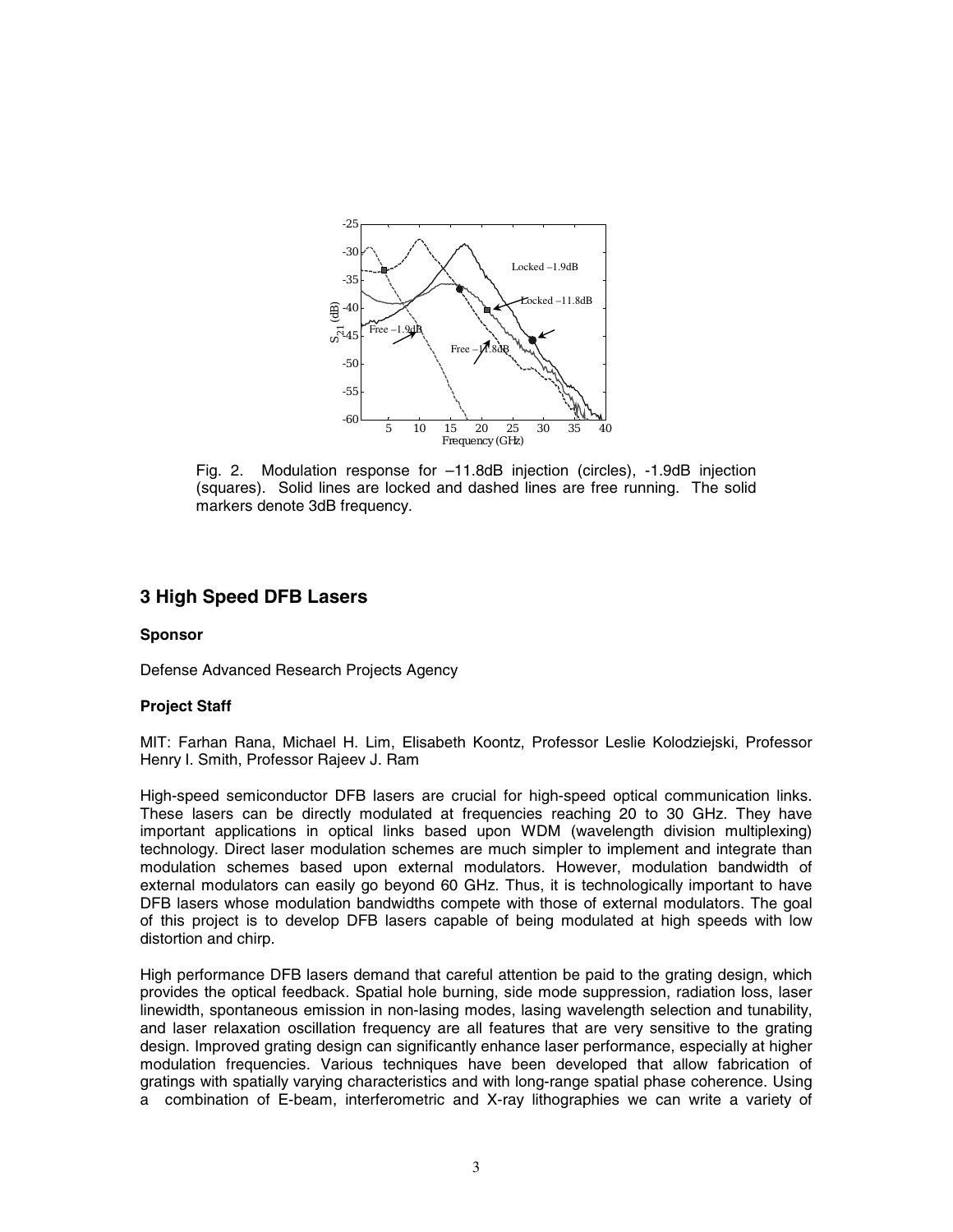

Fig. 2. Modulation response for –11.8dB injection (circles), -1.9dB injection (squares). Solid lines are locked and dashed lines are free running. The solid markers denote 3dB frequency.

### **3 High Speed DFB Lasers**

#### **Sponsor**

Defense Advanced Research Projects Agency

#### **Project Staff**

MIT: Farhan Rana, Michael H. Lim, Elisabeth Koontz, Professor Leslie Kolodziejski, Professor Henry I. Smith, Professor Rajeev J. Ram

High-speed semiconductor DFB lasers are crucial for high-speed optical communication links. These lasers can be directly modulated at frequencies reaching 20 to 30 GHz. They have important applications in optical links based upon WDM (wavelength division multiplexing) technology. Direct laser modulation schemes are much simpler to implement and integrate than modulation schemes based upon external modulators. However, modulation bandwidth of external modulators can easily go beyond 60 GHz. Thus, it is technologically important to have DFB lasers whose modulation bandwidths compete with those of external modulators. The goal of this project is to develop DFB lasers capable of being modulated at high speeds with low distortion and chirp.

High performance DFB lasers demand that careful attention be paid to the grating design, which provides the optical feedback. Spatial hole burning, side mode suppression, radiation loss, laser linewidth, spontaneous emission in non-lasing modes, lasing wavelength selection and tunability, and laser relaxation oscillation frequency are all features that are very sensitive to the grating design. Improved grating design can significantly enhance laser performance, especially at higher modulation frequencies. Various techniques have been developed that allow fabrication of gratings with spatially varying characteristics and with long-range spatial phase coherence. Using a combination of E-beam, interferometric and X-ray lithographies we can write a variety of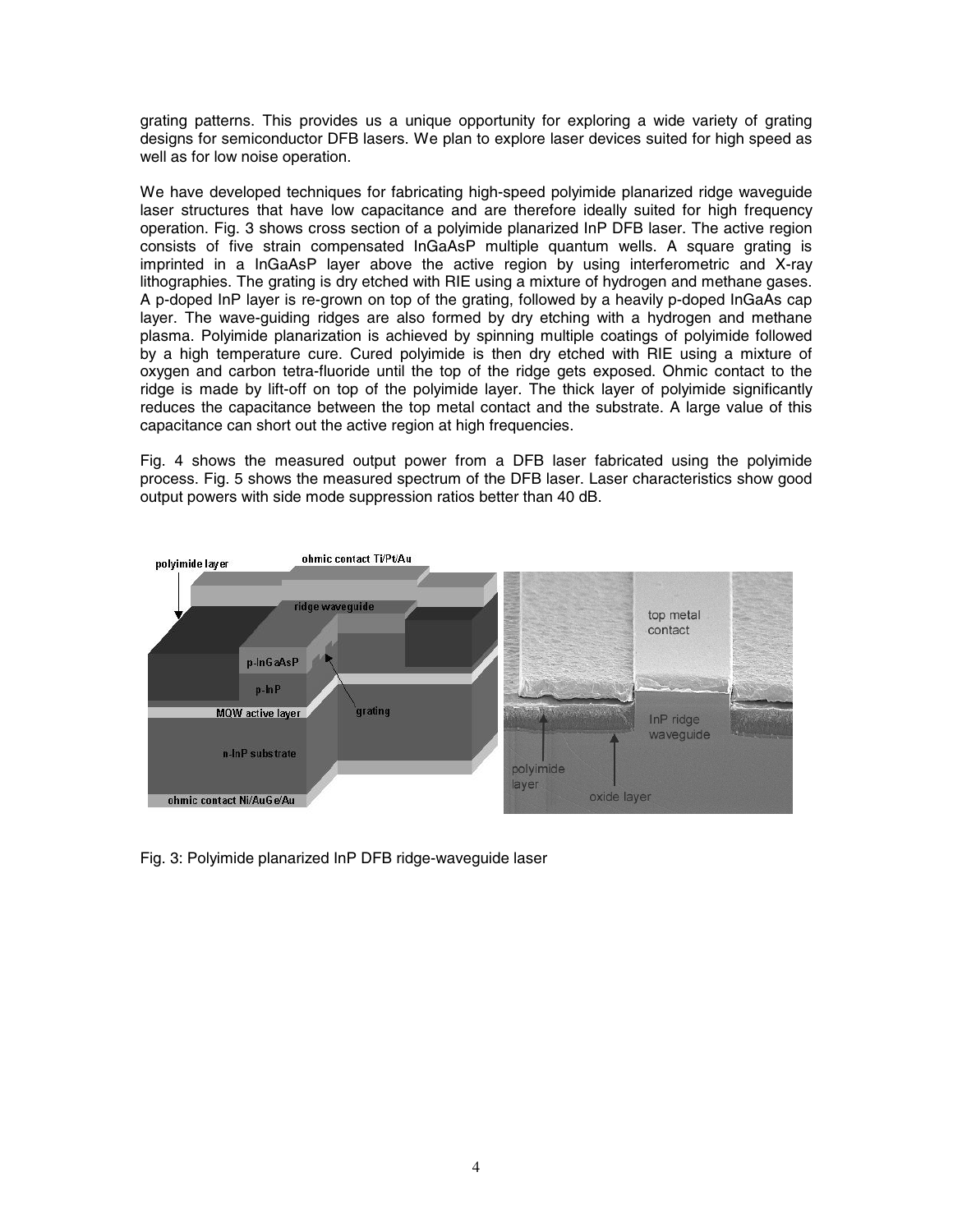grating patterns. This provides us a unique opportunity for exploring a wide variety of grating designs for semiconductor DFB lasers. We plan to explore laser devices suited for high speed as well as for low noise operation.

We have developed techniques for fabricating high-speed polyimide planarized ridge waveguide laser structures that have low capacitance and are therefore ideally suited for high frequency operation. Fig. 3 shows cross section of a polyimide planarized InP DFB laser. The active region consists of five strain compensated InGaAsP multiple quantum wells. A square grating is imprinted in a InGaAsP layer above the active region by using interferometric and X-ray lithographies. The grating is dry etched with RIE using a mixture of hydrogen and methane gases. A p-doped InP layer is re-grown on top of the grating, followed by a heavily p-doped InGaAs cap layer. The wave-guiding ridges are also formed by dry etching with a hydrogen and methane plasma. Polyimide planarization is achieved by spinning multiple coatings of polyimide followed by a high temperature cure. Cured polyimide is then dry etched with RIE using a mixture of oxygen and carbon tetra-fluoride until the top of the ridge gets exposed. Ohmic contact to the ridge is made by lift-off on top of the polyimide layer. The thick layer of polyimide significantly reduces the capacitance between the top metal contact and the substrate. A large value of this capacitance can short out the active region at high frequencies.

Fig. 4 shows the measured output power from a DFB laser fabricated using the polyimide process. Fig. 5 shows the measured spectrum of the DFB laser. Laser characteristics show good output powers with side mode suppression ratios better than 40 dB.



Fig. 3: Polyimide planarized InP DFB ridge-waveguide laser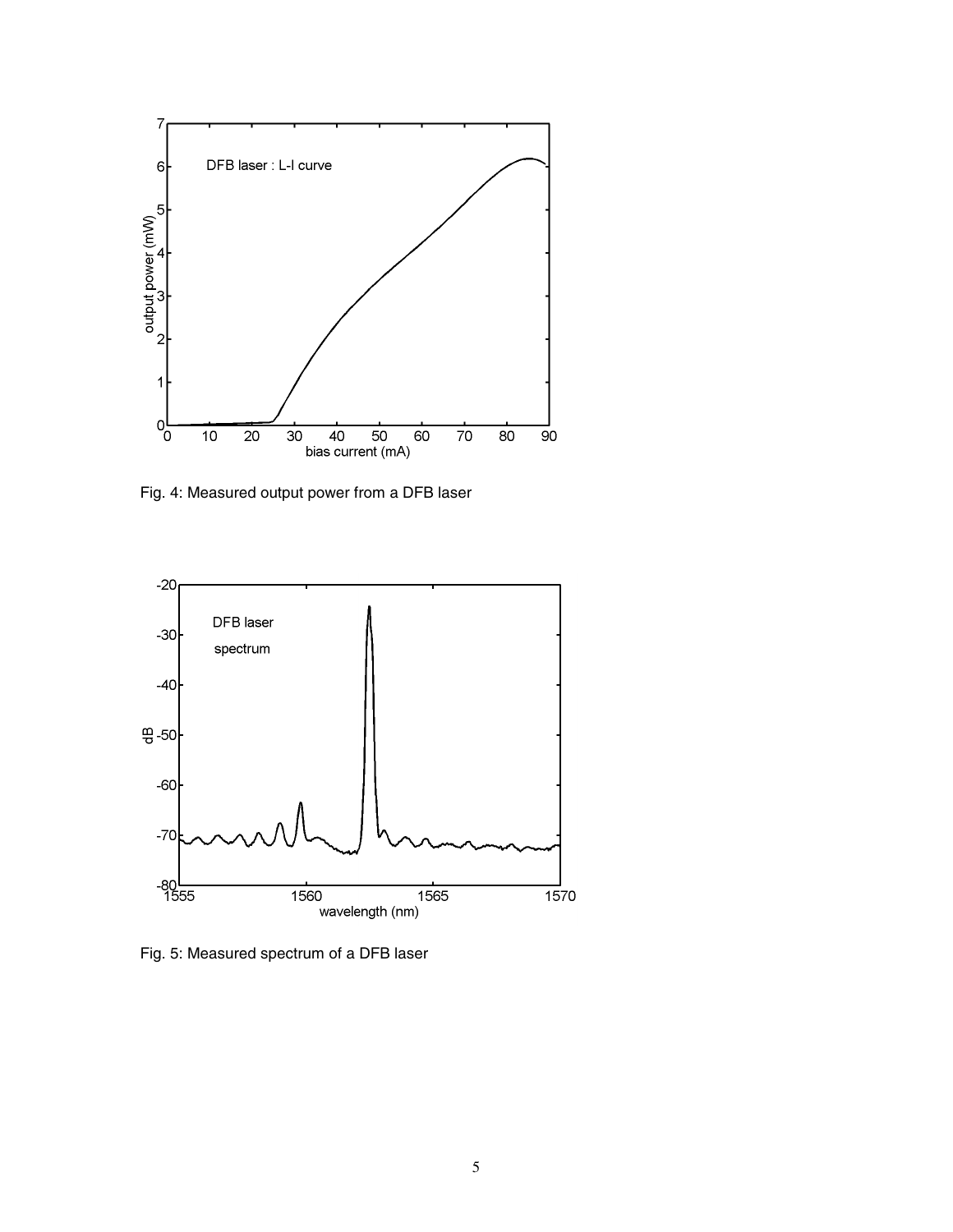

Fig. 4: Measured output power from a DFB laser



Fig. 5: Measured spectrum of a DFB laser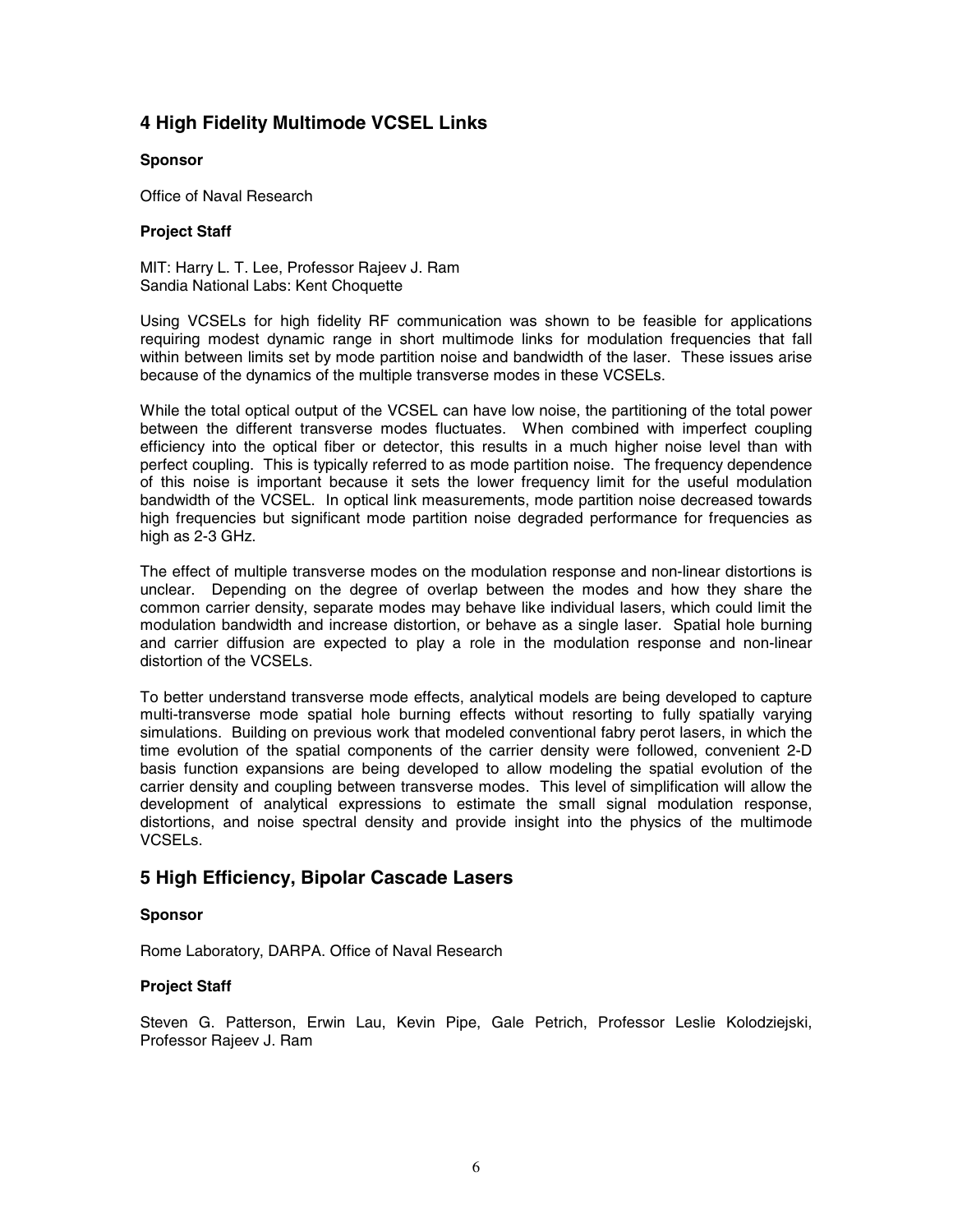## **4 High Fidelity Multimode VCSEL Links**

#### **Sponsor**

Office of Naval Research

#### **Project Staff**

MIT: Harry L. T. Lee, Professor Rajeev J. Ram Sandia National Labs: Kent Choquette

Using VCSELs for high fidelity RF communication was shown to be feasible for applications requiring modest dynamic range in short multimode links for modulation frequencies that fall within between limits set by mode partition noise and bandwidth of the laser. These issues arise because of the dynamics of the multiple transverse modes in these VCSELs.

While the total optical output of the VCSEL can have low noise, the partitioning of the total power between the different transverse modes fluctuates. When combined with imperfect coupling efficiency into the optical fiber or detector, this results in a much higher noise level than with perfect coupling. This is typically referred to as mode partition noise. The frequency dependence of this noise is important because it sets the lower frequency limit for the useful modulation bandwidth of the VCSEL. In optical link measurements, mode partition noise decreased towards high frequencies but significant mode partition noise degraded performance for frequencies as high as 2-3 GHz.

The effect of multiple transverse modes on the modulation response and non-linear distortions is unclear. Depending on the degree of overlap between the modes and how they share the common carrier density, separate modes may behave like individual lasers, which could limit the modulation bandwidth and increase distortion, or behave as a single laser. Spatial hole burning and carrier diffusion are expected to play a role in the modulation response and non-linear distortion of the VCSELs.

To better understand transverse mode effects, analytical models are being developed to capture multi-transverse mode spatial hole burning effects without resorting to fully spatially varying simulations. Building on previous work that modeled conventional fabry perot lasers, in which the time evolution of the spatial components of the carrier density were followed, convenient 2-D basis function expansions are being developed to allow modeling the spatial evolution of the carrier density and coupling between transverse modes. This level of simplification will allow the development of analytical expressions to estimate the small signal modulation response, distortions, and noise spectral density and provide insight into the physics of the multimode VCSELs.

## **5 High Efficiency, Bipolar Cascade Lasers**

### **Sponsor**

Rome Laboratory, DARPA. Office of Naval Research

### **Project Staff**

Steven G. Patterson, Erwin Lau, Kevin Pipe, Gale Petrich, Professor Leslie Kolodziejski, Professor Rajeev J. Ram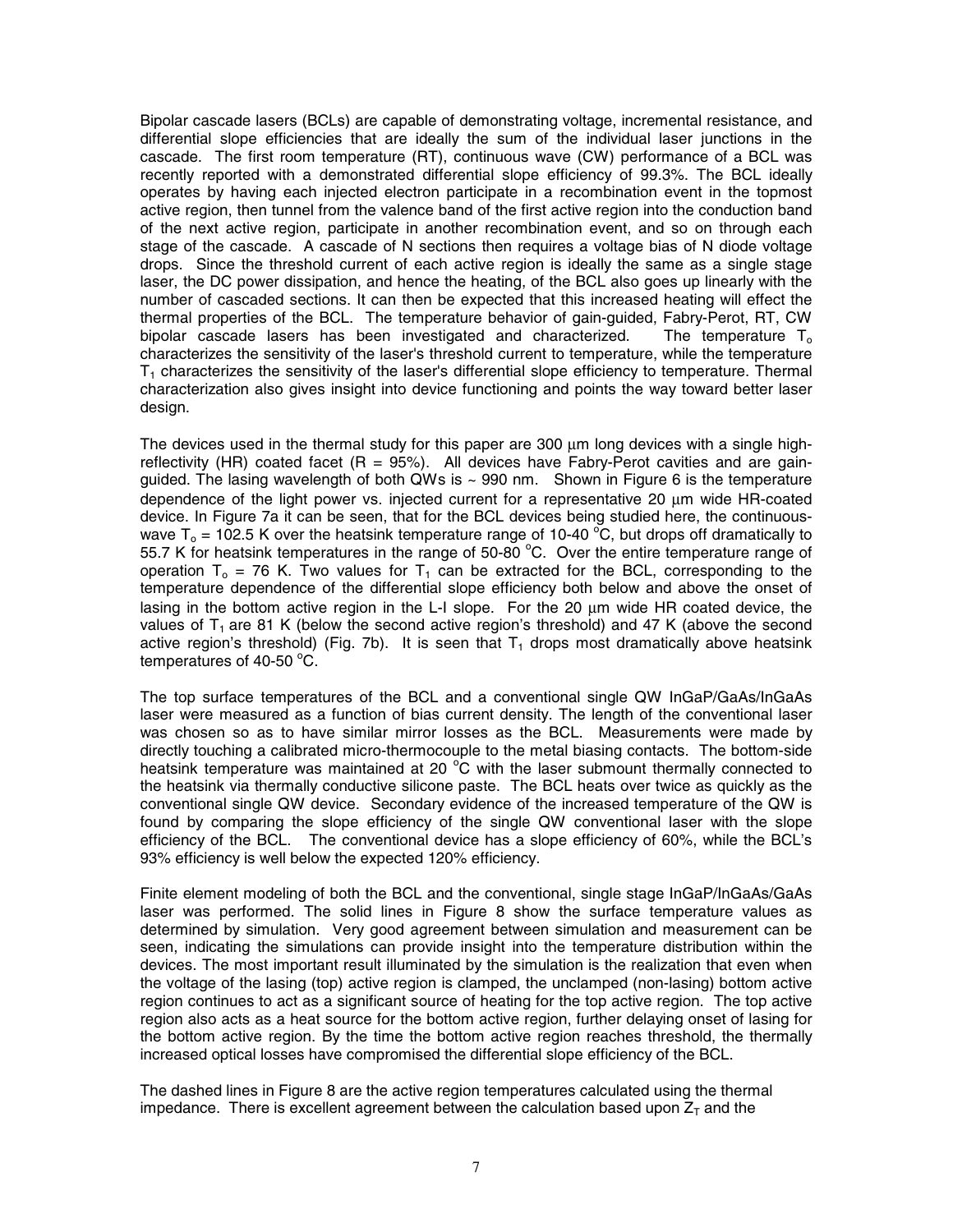Bipolar cascade lasers (BCLs) are capable of demonstrating voltage, incremental resistance, and differential slope efficiencies that are ideally the sum of the individual laser junctions in the cascade. The first room temperature (RT), continuous wave (CW) performance of a BCL was recently reported with a demonstrated differential slope efficiency of 99.3%. The BCL ideally operates by having each injected electron participate in a recombination event in the topmost active region, then tunnel from the valence band of the first active region into the conduction band of the next active region, participate in another recombination event, and so on through each stage of the cascade. A cascade of N sections then requires a voltage bias of N diode voltage drops. Since the threshold current of each active region is ideally the same as a single stage laser, the DC power dissipation, and hence the heating, of the BCL also goes up linearly with the number of cascaded sections. It can then be expected that this increased heating will effect the thermal properties of the BCL. The temperature behavior of gain-guided, Fabry-Perot, RT, CW bipolar cascade lasers has been investigated and characterized. The temperature  $T_0$ characterizes the sensitivity of the laser's threshold current to temperature, while the temperature  $T_1$  characterizes the sensitivity of the laser's differential slope efficiency to temperature. Thermal characterization also gives insight into device functioning and points the way toward better laser design.

The devices used in the thermal study for this paper are 300 um long devices with a single highreflectivity (HR) coated facet  $(R = 95%)$ . All devices have Fabry-Perot cavities and are gainguided. The lasing wavelength of both QWs is  $\sim$  990 nm. Shown in Figure 6 is the temperature dependence of the light power vs. injected current for a representative 20 µm wide HR-coated device. In Figure 7a it can be seen, that for the BCL devices being studied here, the continuouswave T<sub>o</sub> = 102.5 K over the heatsink temperature range of 10-40  $^{\circ}$ C, but drops off dramatically to 55.7 K for heatsink temperatures in the range of 50-80  $^{\circ}$ C. Over the entire temperature range of operation  $T_0$  = 76 K. Two values for  $T_1$  can be extracted for the BCL, corresponding to the temperature dependence of the differential slope efficiency both below and above the onset of lasing in the bottom active region in the L-I slope. For the 20 um wide HR coated device, the values of  $T_1$  are 81 K (below the second active region's threshold) and 47 K (above the second active region's threshold) (Fig. 7b). It is seen that  $T_1$  drops most dramatically above heatsink temperatures of 40-50 $^{\circ}$ C.

The top surface temperatures of the BCL and a conventional single QW InGaP/GaAs/InGaAs laser were measured as a function of bias current density. The length of the conventional laser was chosen so as to have similar mirror losses as the BCL. Measurements were made by directly touching a calibrated micro-thermocouple to the metal biasing contacts. The bottom-side heatsink temperature was maintained at 20  $^{\circ}$ C with the laser submount thermally connected to the heatsink via thermally conductive silicone paste. The BCL heats over twice as quickly as the conventional single QW device. Secondary evidence of the increased temperature of the QW is found by comparing the slope efficiency of the single QW conventional laser with the slope efficiency of the BCL. The conventional device has a slope efficiency of 60%, while the BCL's 93% efficiency is well below the expected 120% efficiency.

Finite element modeling of both the BCL and the conventional, single stage InGaP/InGaAs/GaAs laser was performed. The solid lines in Figure 8 show the surface temperature values as determined by simulation. Very good agreement between simulation and measurement can be seen, indicating the simulations can provide insight into the temperature distribution within the devices. The most important result illuminated by the simulation is the realization that even when the voltage of the lasing (top) active region is clamped, the unclamped (non-lasing) bottom active region continues to act as a significant source of heating for the top active region. The top active region also acts as a heat source for the bottom active region, further delaying onset of lasing for the bottom active region. By the time the bottom active region reaches threshold, the thermally increased optical losses have compromised the differential slope efficiency of the BCL.

The dashed lines in Figure 8 are the active region temperatures calculated using the thermal impedance. There is excellent agreement between the calculation based upon  $Z<sub>T</sub>$  and the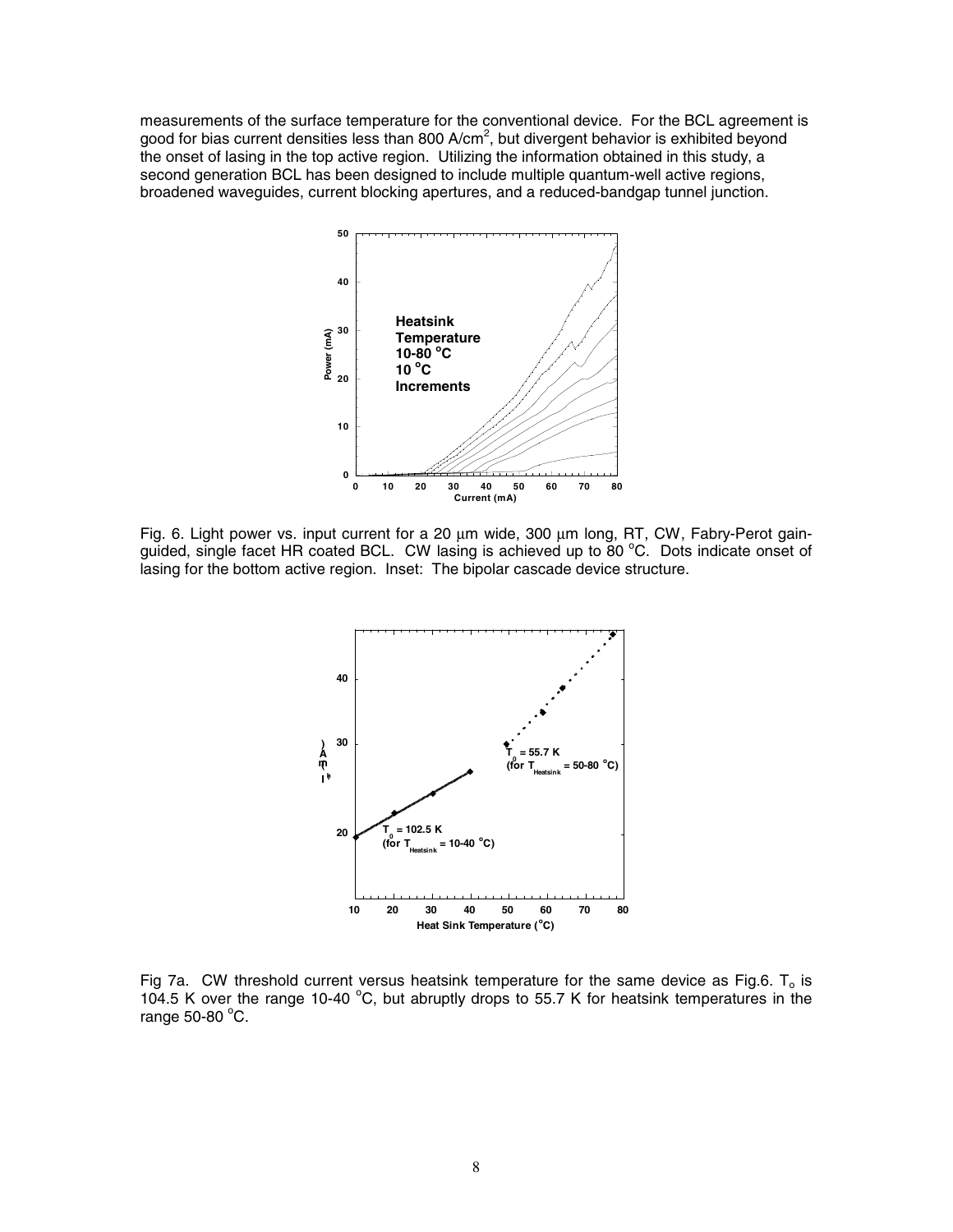measurements of the surface temperature for the conventional device. For the BCL agreement is good for bias current densities less than 800 A/cm<sup>2</sup>, but divergent behavior is exhibited beyond the onset of lasing in the top active region. Utilizing the information obtained in this study, a second generation BCL has been designed to include multiple quantum-well active regions, broadened waveguides, current blocking apertures, and a reduced-bandgap tunnel junction.



Fig. 6. Light power vs. input current for a 20 um wide, 300 um long, RT, CW, Fabry-Perot gainguided, single facet HR coated BCL. CW lasing is achieved up to 80  $^{\circ}$ C. Dots indicate onset of lasing for the bottom active region. Inset: The bipolar cascade device structure.



Fig 7a. CW threshold current versus heatsink temperature for the same device as Fig.6.  $T_0$  is 104.5 K over the range 10-40  $^{\circ}$ C, but abruptly drops to 55.7 K for heatsink temperatures in the range  $50-80$  °C.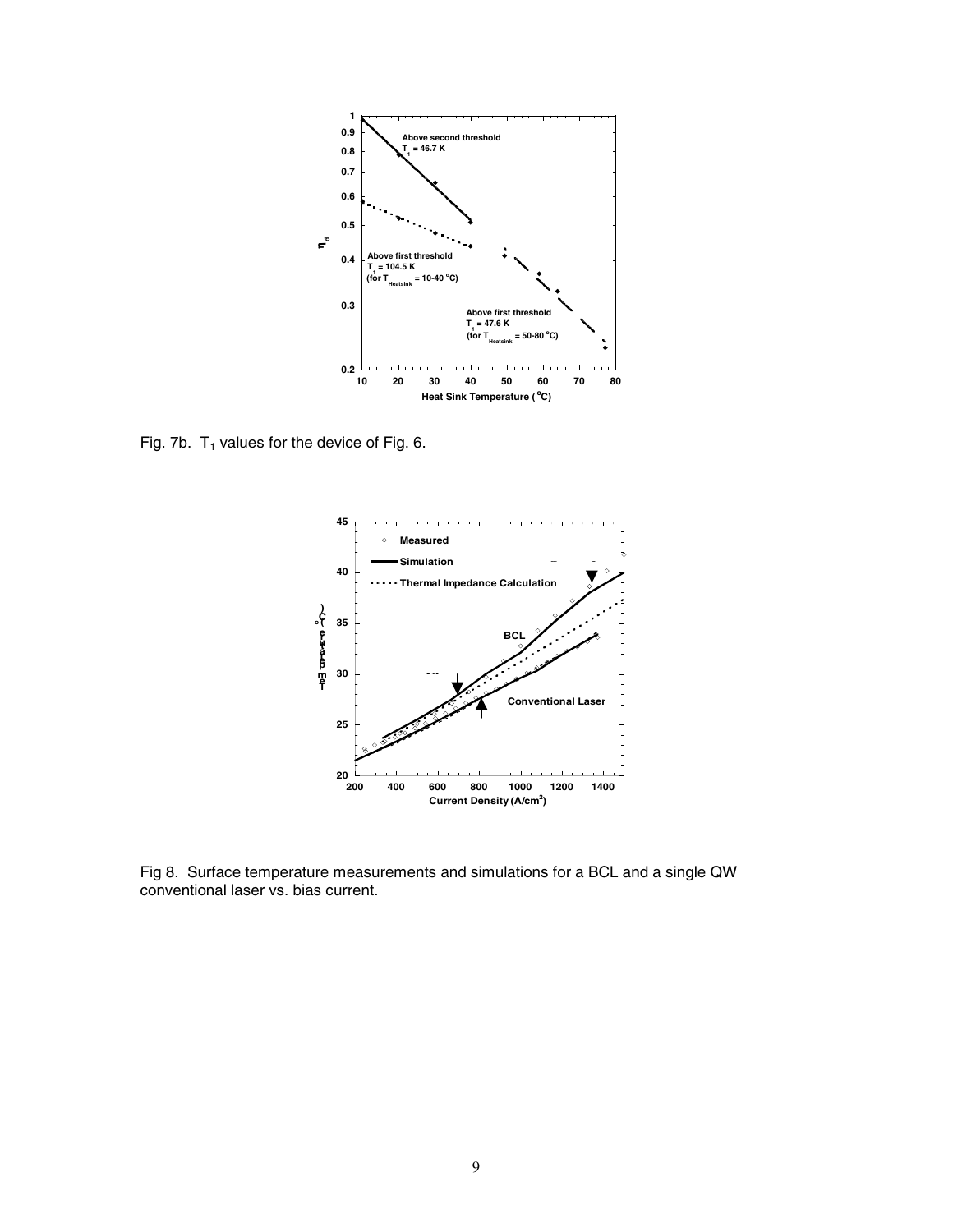

Fig. 7b.  $T_1$  values for the device of Fig. 6.



Fig 8. Surface temperature measurements and simulations for a BCL and a single QW conventional laser vs. bias current.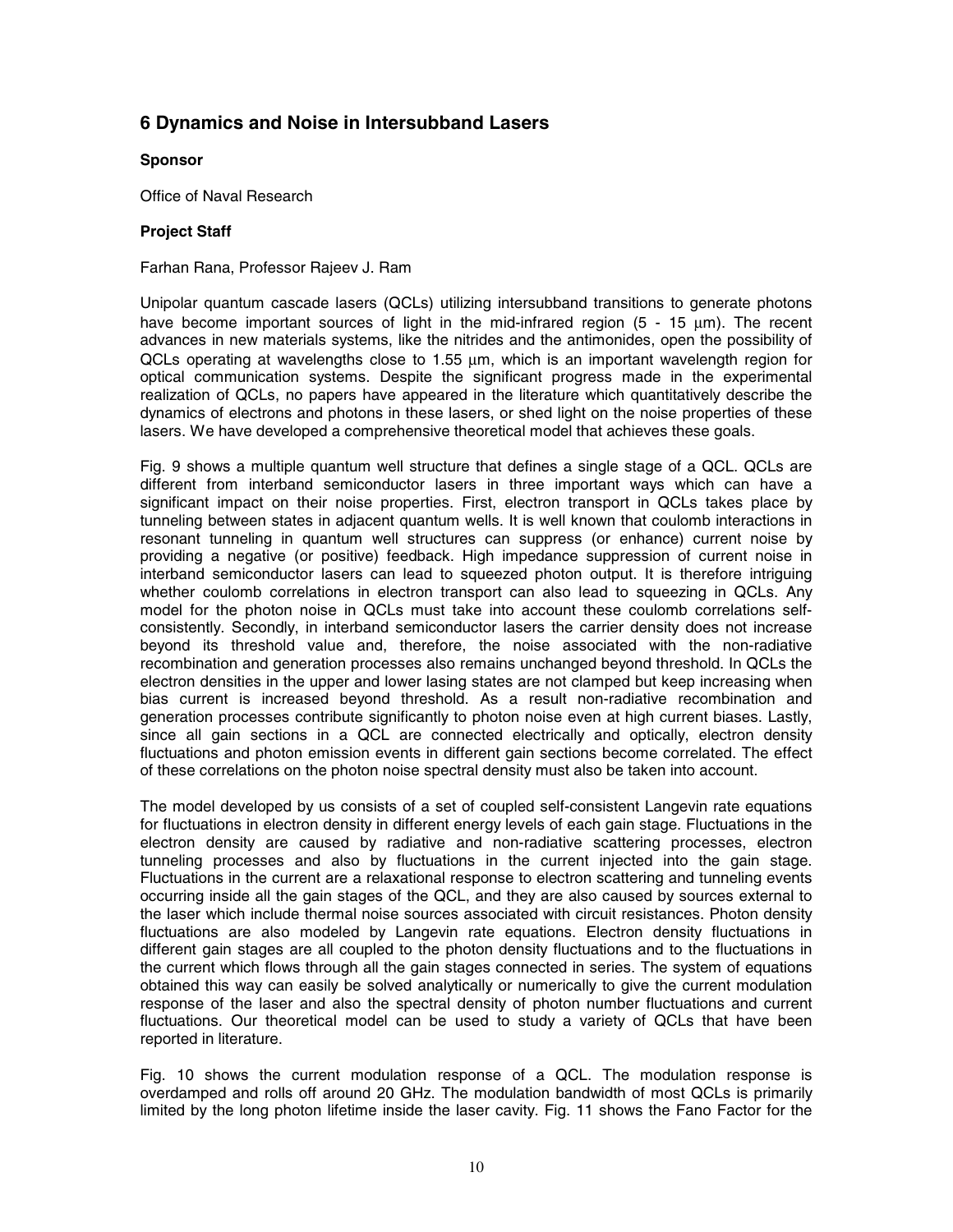### **6 Dynamics and Noise in Intersubband Lasers**

#### **Sponsor**

Office of Naval Research

#### **Project Staff**

Farhan Rana, Professor Rajeev J. Ram

Unipolar quantum cascade lasers (QCLs) utilizing intersubband transitions to generate photons have become important sources of light in the mid-infrared region  $(5 - 15 \mu m)$ . The recent advances in new materials systems, like the nitrides and the antimonides, open the possibility of  $QCLs$  operating at wavelengths close to 1.55  $\mu$ m, which is an important wavelength region for optical communication systems. Despite the significant progress made in the experimental realization of QCLs, no papers have appeared in the literature which quantitatively describe the dynamics of electrons and photons in these lasers, or shed light on the noise properties of these lasers. We have developed a comprehensive theoretical model that achieves these goals.

Fig. 9 shows a multiple quantum well structure that defines a single stage of a QCL. QCLs are different from interband semiconductor lasers in three important ways which can have a significant impact on their noise properties. First, electron transport in QCLs takes place by tunneling between states in adjacent quantum wells. It is well known that coulomb interactions in resonant tunneling in quantum well structures can suppress (or enhance) current noise by providing a negative (or positive) feedback. High impedance suppression of current noise in interband semiconductor lasers can lead to squeezed photon output. It is therefore intriguing whether coulomb correlations in electron transport can also lead to squeezing in QCLs. Any model for the photon noise in QCLs must take into account these coulomb correlations selfconsistently. Secondly, in interband semiconductor lasers the carrier density does not increase beyond its threshold value and, therefore, the noise associated with the non-radiative recombination and generation processes also remains unchanged beyond threshold. In QCLs the electron densities in the upper and lower lasing states are not clamped but keep increasing when bias current is increased beyond threshold. As a result non-radiative recombination and generation processes contribute significantly to photon noise even at high current biases. Lastly, since all gain sections in a QCL are connected electrically and optically, electron density fluctuations and photon emission events in different gain sections become correlated. The effect of these correlations on the photon noise spectral density must also be taken into account.

The model developed by us consists of a set of coupled self-consistent Langevin rate equations for fluctuations in electron density in different energy levels of each gain stage. Fluctuations in the electron density are caused by radiative and non-radiative scattering processes, electron tunneling processes and also by fluctuations in the current injected into the gain stage. Fluctuations in the current are a relaxational response to electron scattering and tunneling events occurring inside all the gain stages of the QCL, and they are also caused by sources external to the laser which include thermal noise sources associated with circuit resistances. Photon density fluctuations are also modeled by Langevin rate equations. Electron density fluctuations in different gain stages are all coupled to the photon density fluctuations and to the fluctuations in the current which flows through all the gain stages connected in series. The system of equations obtained this way can easily be solved analytically or numerically to give the current modulation response of the laser and also the spectral density of photon number fluctuations and current fluctuations. Our theoretical model can be used to study a variety of QCLs that have been reported in literature.

Fig. 10 shows the current modulation response of a QCL. The modulation response is overdamped and rolls off around 20 GHz. The modulation bandwidth of most QCLs is primarily limited by the long photon lifetime inside the laser cavity. Fig. 11 shows the Fano Factor for the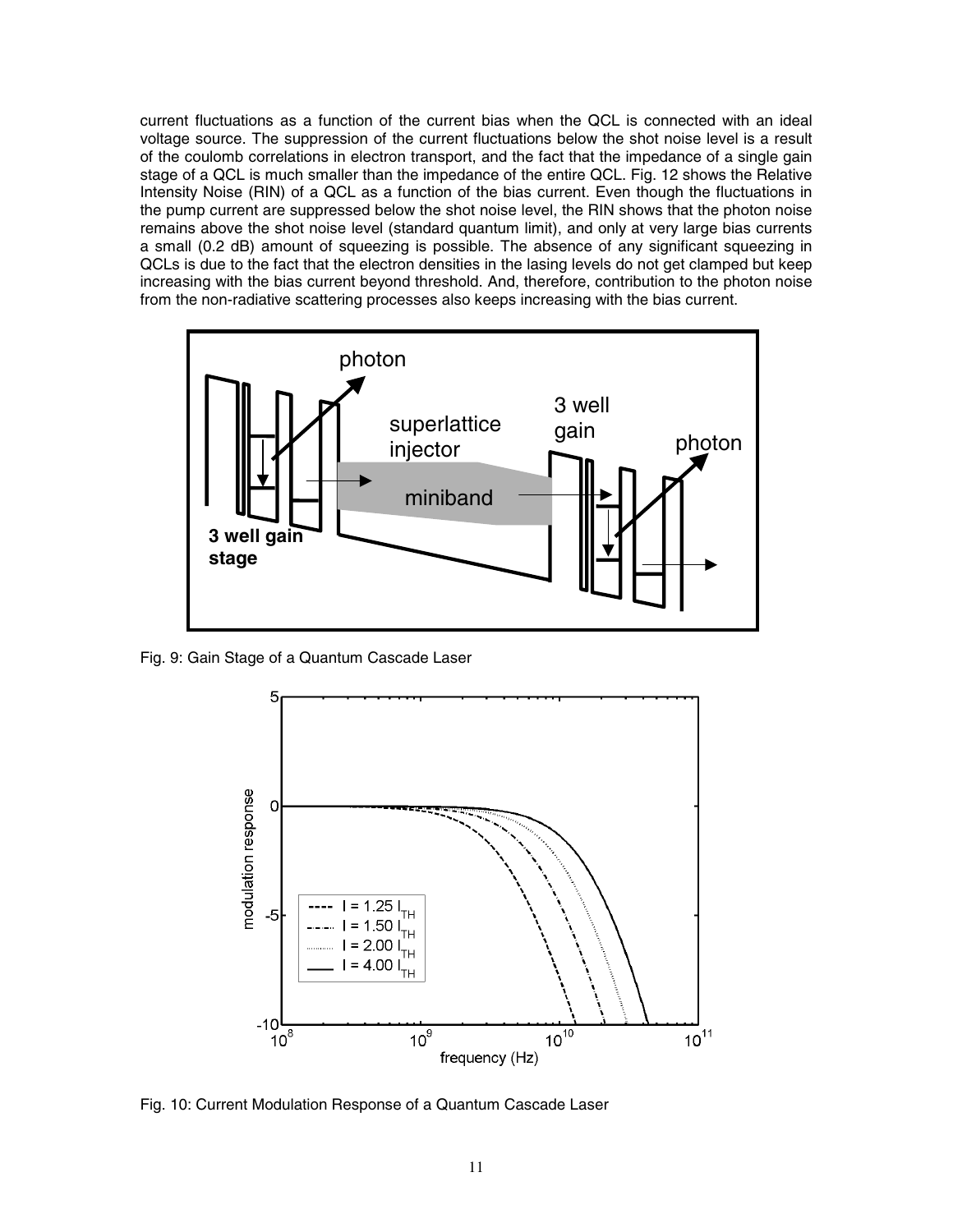current fluctuations as a function of the current bias when the QCL is connected with an ideal voltage source. The suppression of the current fluctuations below the shot noise level is a result of the coulomb correlations in electron transport, and the fact that the impedance of a single gain stage of a QCL is much smaller than the impedance of the entire QCL. Fig. 12 shows the Relative Intensity Noise (RIN) of a QCL as a function of the bias current. Even though the fluctuations in the pump current are suppressed below the shot noise level, the RIN shows that the photon noise remains above the shot noise level (standard quantum limit), and only at very large bias currents a small (0.2 dB) amount of squeezing is possible. The absence of any significant squeezing in QCLs is due to the fact that the electron densities in the lasing levels do not get clamped but keep increasing with the bias current beyond threshold. And, therefore, contribution to the photon noise from the non-radiative scattering processes also keeps increasing with the bias current.



Fig. 9: Gain Stage of a Quantum Cascade Laser



Fig. 10: Current Modulation Response of a Quantum Cascade Laser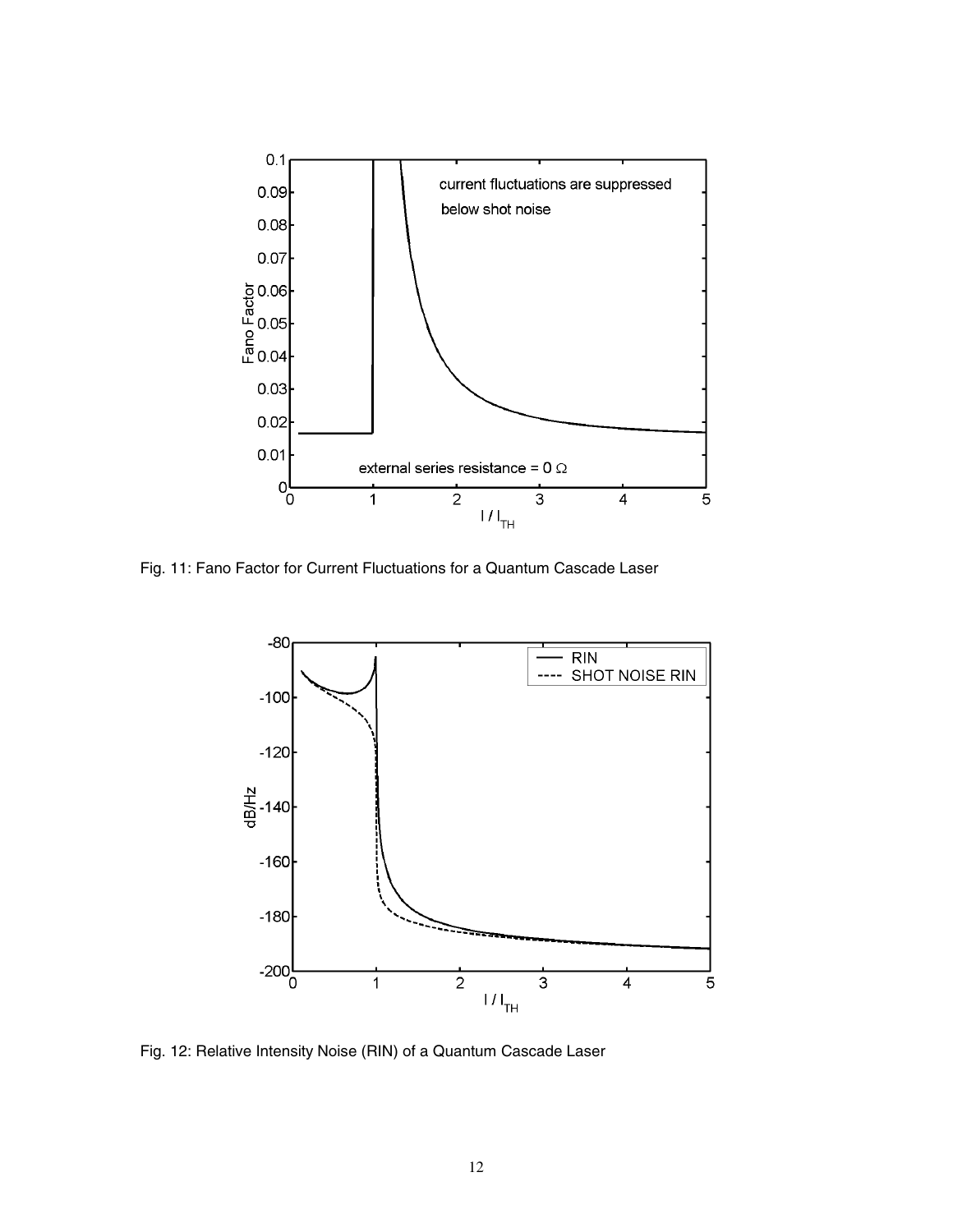

Fig. 11: Fano Factor for Current Fluctuations for a Quantum Cascade Laser



Fig. 12: Relative Intensity Noise (RIN) of a Quantum Cascade Laser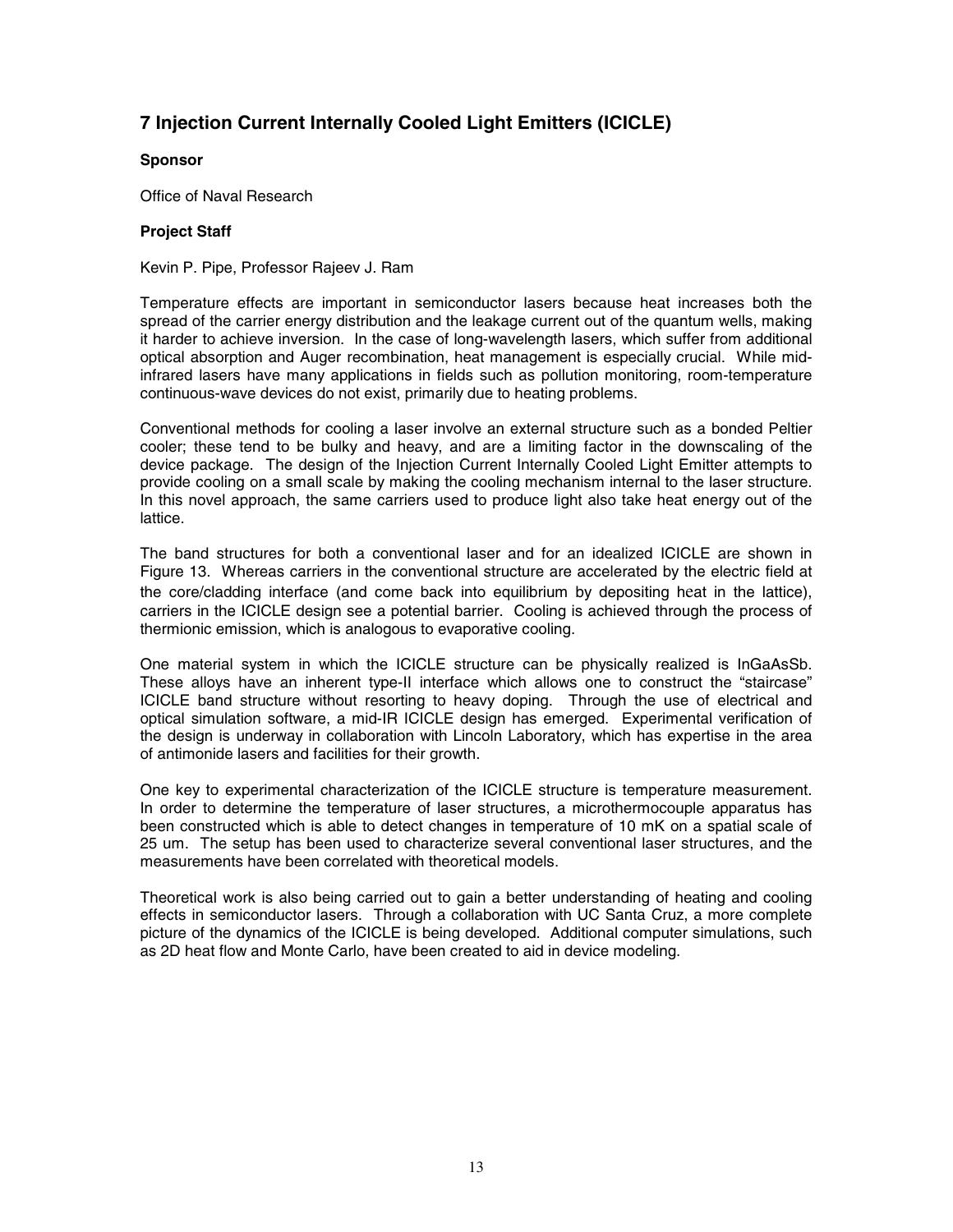## **7 Injection Current Internally Cooled Light Emitters (ICICLE)**

#### **Sponsor**

Office of Naval Research

#### **Project Staff**

Kevin P. Pipe, Professor Rajeev J. Ram

Temperature effects are important in semiconductor lasers because heat increases both the spread of the carrier energy distribution and the leakage current out of the quantum wells, making it harder to achieve inversion. In the case of long-wavelength lasers, which suffer from additional optical absorption and Auger recombination, heat management is especially crucial. While midinfrared lasers have many applications in fields such as pollution monitoring, room-temperature continuous-wave devices do not exist, primarily due to heating problems.

Conventional methods for cooling a laser involve an external structure such as a bonded Peltier cooler; these tend to be bulky and heavy, and are a limiting factor in the downscaling of the device package. The design of the Injection Current Internally Cooled Light Emitter attempts to provide cooling on a small scale by making the cooling mechanism internal to the laser structure. In this novel approach, the same carriers used to produce light also take heat energy out of the lattice.

The band structures for both a conventional laser and for an idealized ICICLE are shown in Figure 13. Whereas carriers in the conventional structure are accelerated by the electric field at the core/cladding interface (and come back into equilibrium by depositing heat in the lattice), carriers in the ICICLE design see a potential barrier. Cooling is achieved through the process of thermionic emission, which is analogous to evaporative cooling.

One material system in which the ICICLE structure can be physically realized is InGaAsSb. These alloys have an inherent type-II interface which allows one to construct the "staircase" ICICLE band structure without resorting to heavy doping. Through the use of electrical and optical simulation software, a mid-IR ICICLE design has emerged. Experimental verification of the design is underway in collaboration with Lincoln Laboratory, which has expertise in the area of antimonide lasers and facilities for their growth.

One key to experimental characterization of the ICICLE structure is temperature measurement. In order to determine the temperature of laser structures, a microthermocouple apparatus has been constructed which is able to detect changes in temperature of 10 mK on a spatial scale of 25 um. The setup has been used to characterize several conventional laser structures, and the measurements have been correlated with theoretical models.

Theoretical work is also being carried out to gain a better understanding of heating and cooling effects in semiconductor lasers. Through a collaboration with UC Santa Cruz, a more complete picture of the dynamics of the ICICLE is being developed. Additional computer simulations, such as 2D heat flow and Monte Carlo, have been created to aid in device modeling.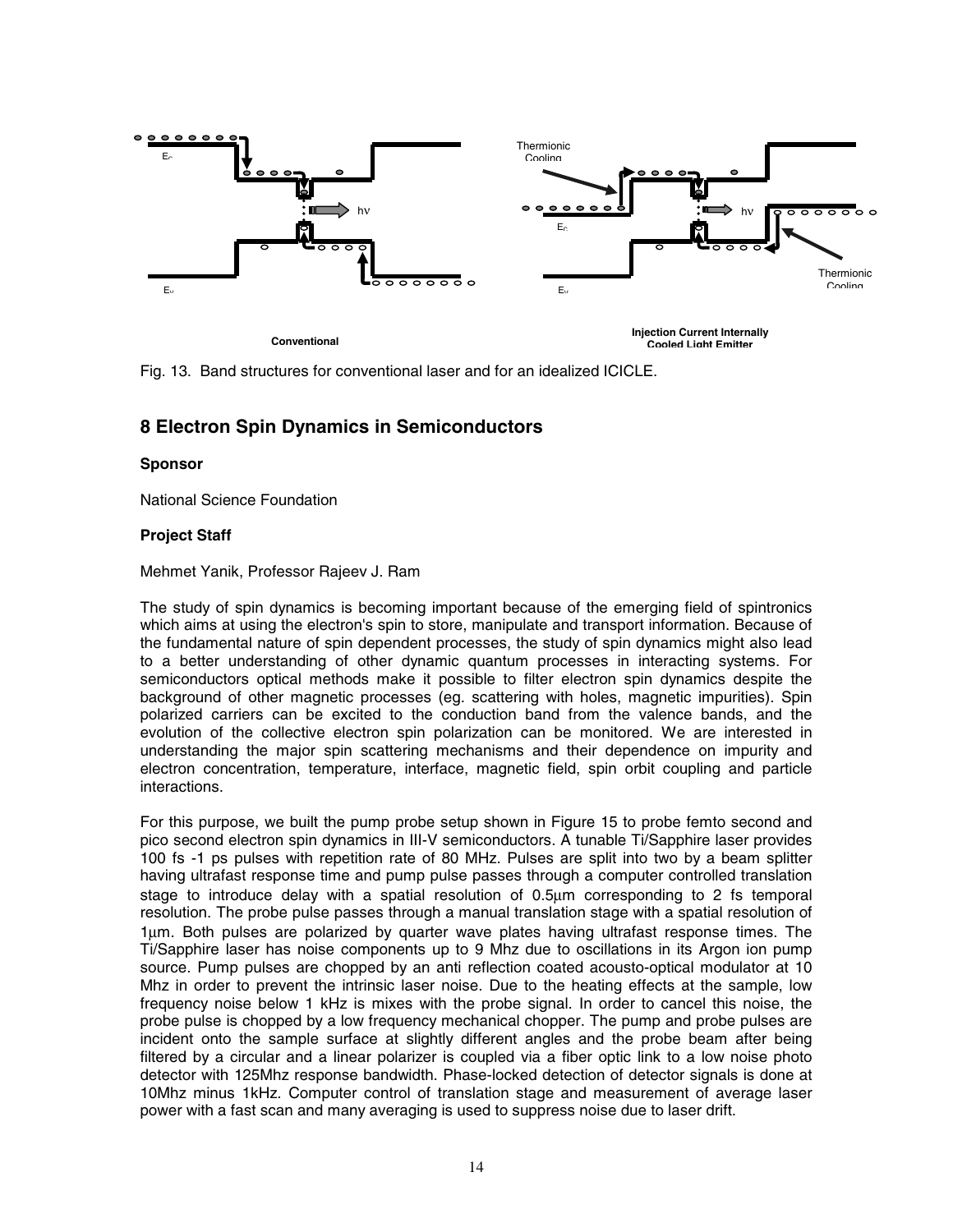

Fig. 13. Band structures for conventional laser and for an idealized ICICLE.

## **8 Electron Spin Dynamics in Semiconductors**

#### **Sponsor**

National Science Foundation

#### **Project Staff**

Mehmet Yanik, Professor Rajeev J. Ram

The study of spin dynamics is becoming important because of the emerging field of spintronics which aims at using the electron's spin to store, manipulate and transport information. Because of the fundamental nature of spin dependent processes, the study of spin dynamics might also lead to a better understanding of other dynamic quantum processes in interacting systems. For semiconductors optical methods make it possible to filter electron spin dynamics despite the background of other magnetic processes (eg. scattering with holes, magnetic impurities). Spin polarized carriers can be excited to the conduction band from the valence bands, and the evolution of the collective electron spin polarization can be monitored. We are interested in understanding the major spin scattering mechanisms and their dependence on impurity and electron concentration, temperature, interface, magnetic field, spin orbit coupling and particle interactions.

For this purpose, we built the pump probe setup shown in Figure 15 to probe femto second and pico second electron spin dynamics in III-V semiconductors. A tunable Ti/Sapphire laser provides 100 fs -1 ps pulses with repetition rate of 80 MHz. Pulses are split into two by a beam splitter having ultrafast response time and pump pulse passes through a computer controlled translation stage to introduce delay with a spatial resolution of 0.5µm corresponding to 2 fs temporal resolution. The probe pulse passes through a manual translation stage with a spatial resolution of 1µm. Both pulses are polarized by quarter wave plates having ultrafast response times. The Ti/Sapphire laser has noise components up to 9 Mhz due to oscillations in its Argon ion pump source. Pump pulses are chopped by an anti reflection coated acousto-optical modulator at 10 Mhz in order to prevent the intrinsic laser noise. Due to the heating effects at the sample, low frequency noise below 1 kHz is mixes with the probe signal. In order to cancel this noise, the probe pulse is chopped by a low frequency mechanical chopper. The pump and probe pulses are incident onto the sample surface at slightly different angles and the probe beam after being filtered by a circular and a linear polarizer is coupled via a fiber optic link to a low noise photo detector with 125Mhz response bandwidth. Phase-locked detection of detector signals is done at 10Mhz minus 1kHz. Computer control of translation stage and measurement of average laser power with a fast scan and many averaging is used to suppress noise due to laser drift.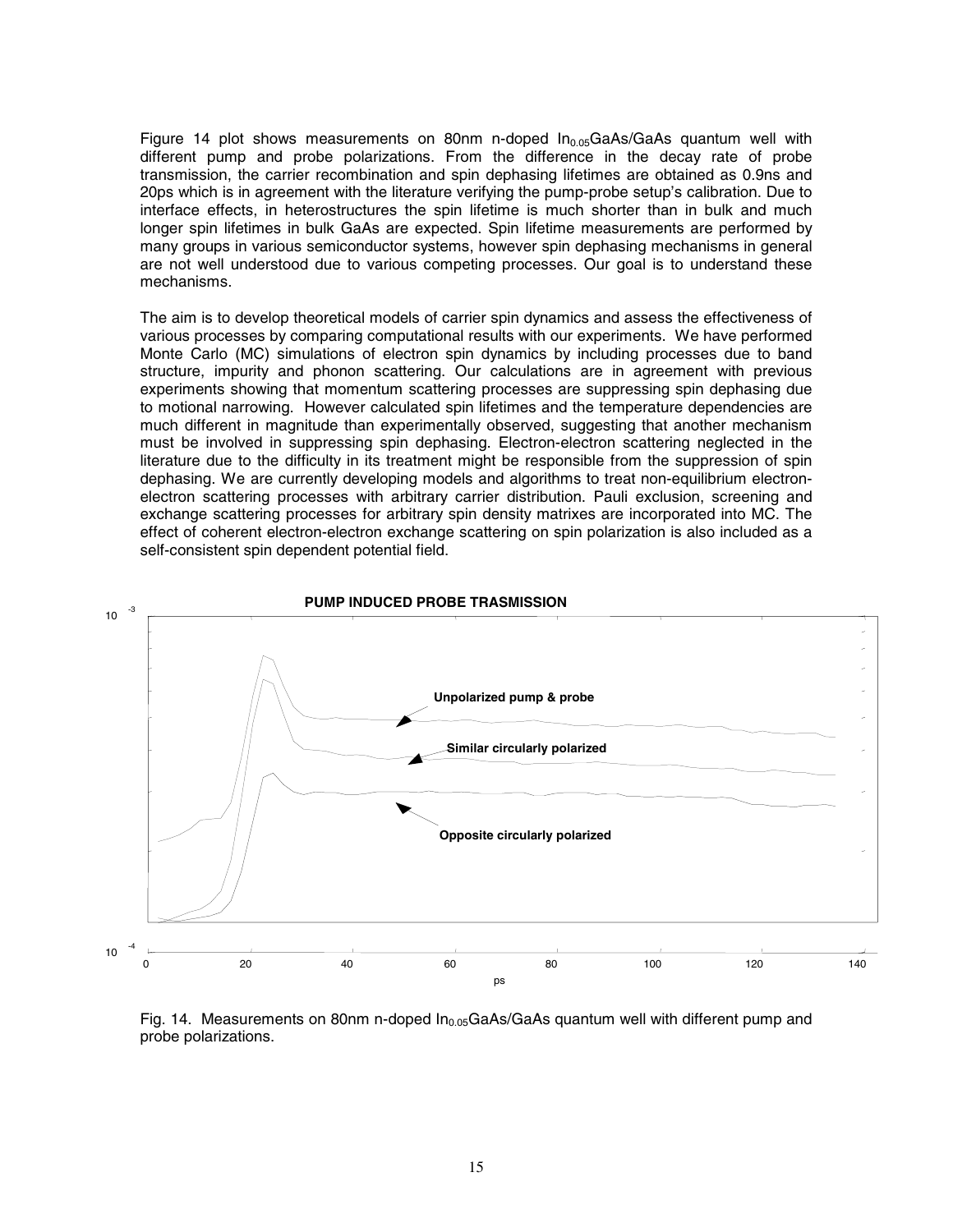Figure 14 plot shows measurements on 80nm n-doped  $In_{0.05}GaAs/GaAs$  quantum well with different pump and probe polarizations. From the difference in the decay rate of probe transmission, the carrier recombination and spin dephasing lifetimes are obtained as 0.9ns and 20ps which is in agreement with the literature verifying the pump-probe setup's calibration. Due to interface effects, in heterostructures the spin lifetime is much shorter than in bulk and much longer spin lifetimes in bulk GaAs are expected. Spin lifetime measurements are performed by many groups in various semiconductor systems, however spin dephasing mechanisms in general are not well understood due to various competing processes. Our goal is to understand these mechanisms.

The aim is to develop theoretical models of carrier spin dynamics and assess the effectiveness of various processes by comparing computational results with our experiments. We have performed Monte Carlo (MC) simulations of electron spin dynamics by including processes due to band structure, impurity and phonon scattering. Our calculations are in agreement with previous experiments showing that momentum scattering processes are suppressing spin dephasing due to motional narrowing. However calculated spin lifetimes and the temperature dependencies are much different in magnitude than experimentally observed, suggesting that another mechanism must be involved in suppressing spin dephasing. Electron-electron scattering neglected in the literature due to the difficulty in its treatment might be responsible from the suppression of spin dephasing. We are currently developing models and algorithms to treat non-equilibrium electronelectron scattering processes with arbitrary carrier distribution. Pauli exclusion, screening and exchange scattering processes for arbitrary spin density matrixes are incorporated into MC. The effect of coherent electron-electron exchange scattering on spin polarization is also included as a self-consistent spin dependent potential field.





15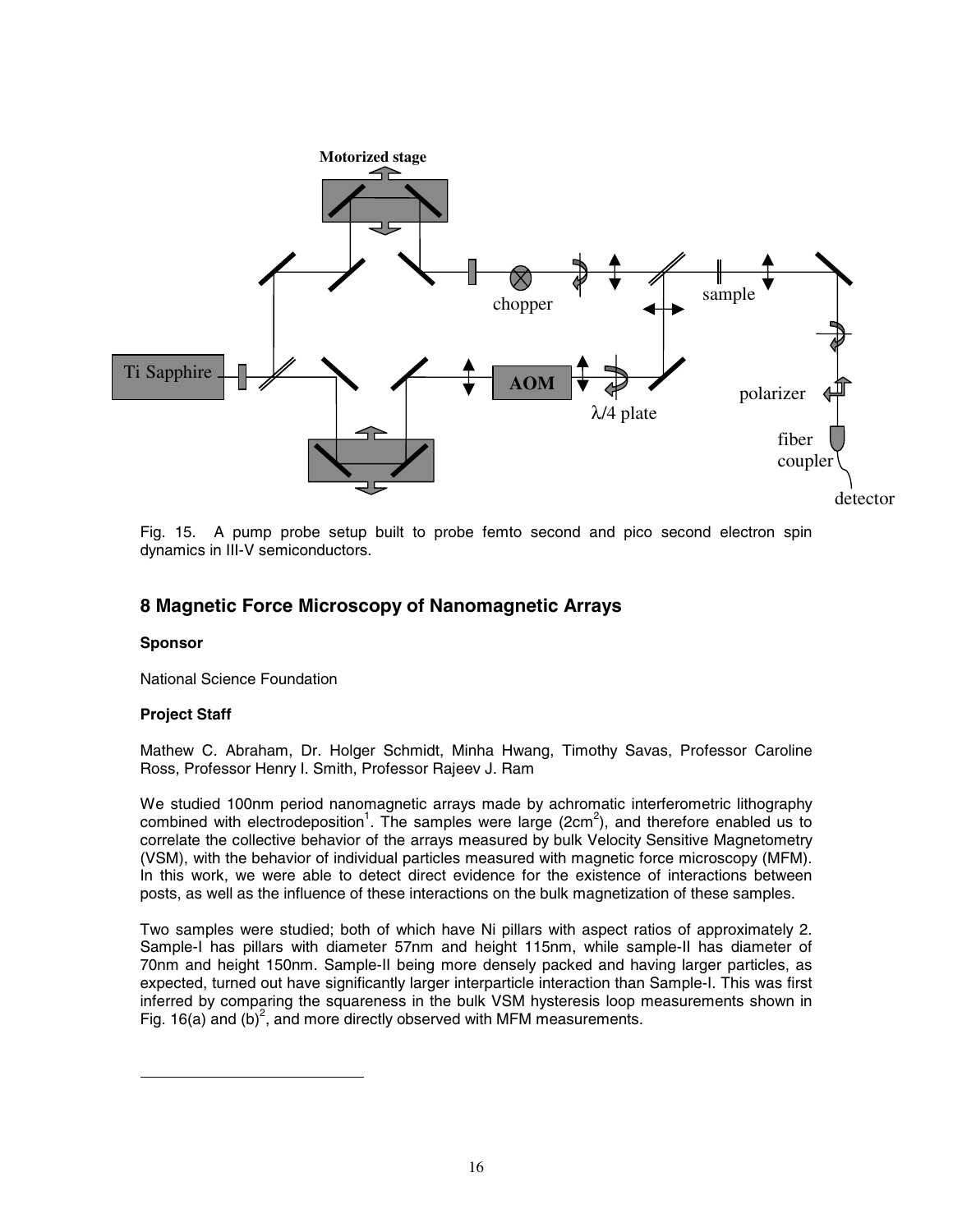

Fig. 15. A pump probe setup built to probe femto second and pico second electron spin dynamics in III-V semiconductors.

### **8 Magnetic Force Microscopy of Nanomagnetic Arrays**

#### **Sponsor**

National Science Foundation

### **Project Staff**

Mathew C. Abraham, Dr. Holger Schmidt, Minha Hwang, Timothy Savas, Professor Caroline Ross, Professor Henry I. Smith, Professor Rajeev J. Ram

We studied 100nm period nanomagnetic arrays made by achromatic interferometric lithography combined with electrodeposition<sup>1</sup>. The samples were large (2cm<sup>2</sup>), and therefore enabled us to correlate the collective behavior of the arrays measured by bulk Velocity Sensitive Magnetometry (VSM), with the behavior of individual particles measured with magnetic force microscopy (MFM). In this work, we were able to detect direct evidence for the existence of interactions between posts, as well as the influence of these interactions on the bulk magnetization of these samples.

Two samples were studied; both of which have Ni pillars with aspect ratios of approximately 2. Sample-I has pillars with diameter 57nm and height 115nm, while sample-II has diameter of 70nm and height 150nm. Sample-II being more densely packed and having larger particles, as expected, turned out have significantly larger interparticle interaction than Sample-I. This was first inferred by comparing the squareness in the bulk VSM hysteresis loop measurements shown in Fig. 16(a) and (b)<sup>2</sup>, and more directly observed with MFM measurements.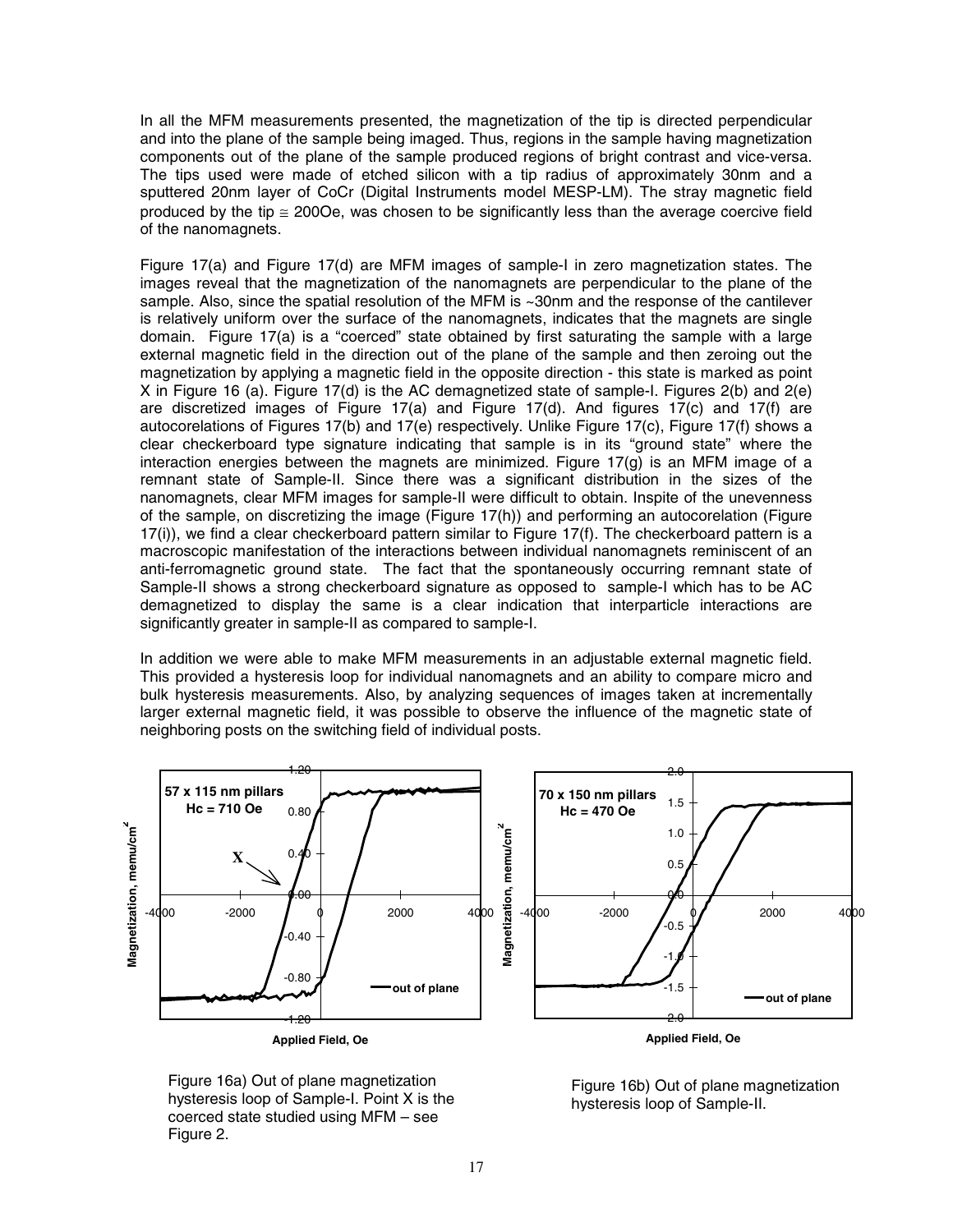In all the MFM measurements presented, the magnetization of the tip is directed perpendicular and into the plane of the sample being imaged. Thus, regions in the sample having magnetization components out of the plane of the sample produced regions of bright contrast and vice-versa. The tips used were made of etched silicon with a tip radius of approximately 30nm and a sputtered 20nm layer of CoCr (Digital Instruments model MESP-LM). The stray magnetic field produced by the tip  $\leq$  2000e, was chosen to be significantly less than the average coercive field of the nanomagnets.

Figure 17(a) and Figure 17(d) are MFM images of sample-I in zero magnetization states. The images reveal that the magnetization of the nanomagnets are perpendicular to the plane of the sample. Also, since the spatial resolution of the MFM is ~30nm and the response of the cantilever is relatively uniform over the surface of the nanomagnets, indicates that the magnets are single domain. Figure 17(a) is a "coerced" state obtained by first saturating the sample with a large external magnetic field in the direction out of the plane of the sample and then zeroing out the magnetization by applying a magnetic field in the opposite direction - this state is marked as point X in Figure 16 (a). Figure 17(d) is the AC demagnetized state of sample-I. Figures 2(b) and 2(e) are discretized images of Figure 17(a) and Figure 17(d). And figures 17(c) and 17(f) are autocorelations of Figures 17(b) and 17(e) respectively. Unlike Figure 17(c), Figure 17(f) shows a clear checkerboard type signature indicating that sample is in its "ground state" where the interaction energies between the magnets are minimized. Figure 17(g) is an MFM image of a remnant state of Sample-II. Since there was a significant distribution in the sizes of the nanomagnets, clear MFM images for sample-II were difficult to obtain. Inspite of the unevenness of the sample, on discretizing the image (Figure 17(h)) and performing an autocorelation (Figure 17(i)), we find a clear checkerboard pattern similar to Figure 17(f). The checkerboard pattern is a macroscopic manifestation of the interactions between individual nanomagnets reminiscent of an anti-ferromagnetic ground state. The fact that the spontaneously occurring remnant state of Sample-II shows a strong checkerboard signature as opposed to sample-I which has to be AC demagnetized to display the same is a clear indication that interparticle interactions are significantly greater in sample-II as compared to sample-I.

In addition we were able to make MFM measurements in an adjustable external magnetic field. This provided a hysteresis loop for individual nanomagnets and an ability to compare micro and bulk hysteresis measurements. Also, by analyzing sequences of images taken at incrementally larger external magnetic field, it was possible to observe the influence of the magnetic state of neighboring posts on the switching field of individual posts.



Figure 16a) Out of plane magnetization hysteresis loop of Sample-I. Point X is the coerced state studied using MFM – see Figure 2.